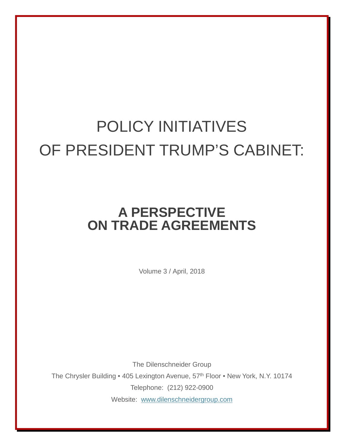## POLICY INITIATIVES OF PRESIDENT TRUMP'S CABINET:

## **A PERSPECTIVE ON TRADE AGREEMENTS**

Volume 3 / April, 2018

The Dilenschneider Group The Chrysler Building • 405 Lexington Avenue, 57<sup>th</sup> Floor • New York, N.Y. 10174 Telephone: (212) 922-0900 Website: [www.dilenschneidergroup.com](http://www.dilenschneidergroup.com/)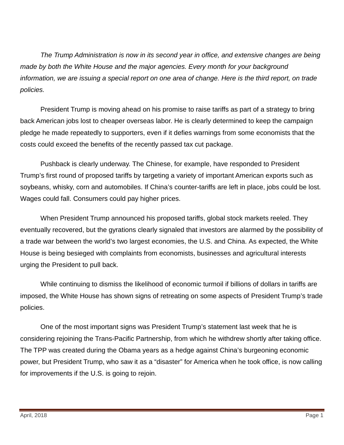*The Trump Administration is now in its second year in office, and extensive changes are being made by both the White House and the major agencies. Every month for your background information, we are issuing a special report on one area of change. Here is the third report, on trade policies.*

President Trump is moving ahead on his promise to raise tariffs as part of a strategy to bring back American jobs lost to cheaper overseas labor. He is clearly determined to keep the campaign pledge he made repeatedly to supporters, even if it defies warnings from some economists that the costs could exceed the benefits of the recently passed tax cut package.

Pushback is clearly underway. The Chinese, for example, have responded to President Trump's first round of proposed tariffs by targeting a variety of important American exports such as soybeans, whisky, corn and automobiles. If China's counter-tariffs are left in place, jobs could be lost. Wages could fall. Consumers could pay higher prices.

When President Trump announced his proposed tariffs, global stock markets reeled. They eventually recovered, but the gyrations clearly signaled that investors are alarmed by the possibility of a trade war between the world's two largest economies, the U.S. and China. As expected, the White House is being besieged with complaints from economists, businesses and agricultural interests urging the President to pull back.

While continuing to dismiss the likelihood of economic turmoil if billions of dollars in tariffs are imposed, the White House has shown signs of retreating on some aspects of President Trump's trade policies.

One of the most important signs was President Trump's statement last week that he is considering rejoining the Trans-Pacific Partnership, from which he withdrew shortly after taking office. The TPP was created during the Obama years as a hedge against China's burgeoning economic power, but President Trump, who saw it as a "disaster" for America when he took office, is now calling for improvements if the U.S. is going to rejoin.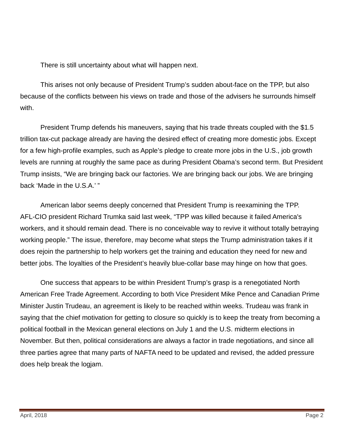There is still uncertainty about what will happen next.

This arises not only because of President Trump's sudden about-face on the TPP, but also because of the conflicts between his views on trade and those of the advisers he surrounds himself with.

President Trump defends his maneuvers, saying that his trade threats coupled with the \$1.5 trillion tax-cut package already are having the desired effect of creating more domestic jobs. Except for a few high-profile examples, such as Apple's pledge to create more jobs in the U.S., job growth levels are running at roughly the same pace as during President Obama's second term. But President Trump insists, "We are bringing back our factories. We are bringing back our jobs. We are bringing back 'Made in the U.S.A.' "

American labor seems deeply concerned that President Trump is reexamining the TPP. AFL-CIO president Richard Trumka said last week, "TPP was killed because it failed America's workers, and it should remain dead. There is no conceivable way to revive it without totally betraying working people." The issue, therefore, may become what steps the Trump administration takes if it does rejoin the partnership to help workers get the training and education they need for new and better jobs. The loyalties of the President's heavily blue-collar base may hinge on how that goes.

One success that appears to be within President Trump's grasp is a renegotiated North American Free Trade Agreement. According to both Vice President Mike Pence and Canadian Prime Minister Justin Trudeau, an agreement is likely to be reached within weeks. Trudeau was frank in saying that the chief motivation for getting to closure so quickly is to keep the treaty from becoming a political football in the Mexican general elections on July 1 and the U.S. midterm elections in November. But then, political considerations are always a factor in trade negotiations, and since all three parties agree that many parts of NAFTA need to be updated and revised, the added pressure does help break the logjam.